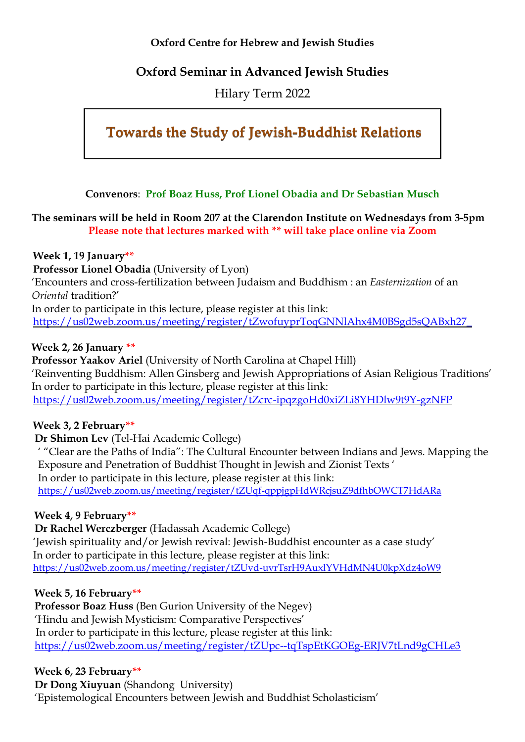#### **Oxford Centre for Hebrew and Jewish Studies**

## **Oxford Seminar in Advanced Jewish Studies**

Hilary Term 2022

# **Towards the Study of Jewish-Buddhist Relations**

**Convenors**: **Prof Boaz Huss, Prof Lionel Obadia and Dr Sebastian Musch**

**The seminars will be held in Room 207 at the Clarendon Institute on Wednesdays from 3-5pm Please note that lectures marked with \*\* will take place online via Zoom**

**Week 1, 19 January\*\***

**Professor Lionel Obadia** (University of Lyon)

'Encounters and cross-fertilization between Judaism and Buddhism : an *Easternization* of an *Oriental* tradition?'

In order to participate in this lecture, please register at this link: https://us02web.zoom.us/meeting/register/tZwofuyprToqGNNlAhx4M0BSgd5sOABxh27

**Week 2, 26 January \*\***

**Professor Yaakov Ariel** (University of North Carolina at Chapel Hill) 'Reinventing Buddhism: Allen Ginsberg and Jewish Appropriations of Asian Religious Traditions' In order to participate in this lecture, please register at this link: <https://us02web.zoom.us/meeting/register/tZcrc-ipqzgoHd0xiZLi8YHDlw9t9Y-gzNFP>

## **Week 3, 2 February\*\***

**Dr Shimon Lev** (Tel-Hai Academic College)

' "Clear are the Paths of India": The Cultural Encounter between Indians and Jews. Mapping the Exposure and Penetration of Buddhist Thought in Jewish and Zionist Texts ' In order to participate in this lecture, please register at this link: <https://us02web.zoom.us/meeting/register/tZUqf-qppjgpHdWRcjsuZ9dfhbOWCT7HdARa>

## **Week 4, 9 February\*\***

**Dr Rachel Werczberger** (Hadassah Academic College) 'Jewish spirituality and/or Jewish revival: Jewish-Buddhist encounter as a case study' In order to participate in this lecture, please register at this link: <https://us02web.zoom.us/meeting/register/tZUvd-uvrTsrH9AuxlYVHdMN4U0kpXdz4oW9>

#### **Week 5, 16 February\*\***

**Professor Boaz Huss** (Ben Gurion University of the Negev) 'Hindu and Jewish Mysticism: Comparative Perspectives' In order to participate in this lecture, please register at this link: <https://us02web.zoom.us/meeting/register/tZUpc--tqTspEtKGOEg-ERJV7tLnd9gCHLe3>

**Week 6, 23 February\*\***

**Dr Dong Xiuyuan** (Shandong University) 'Epistemological Encounters between Jewish and Buddhist Scholasticism'